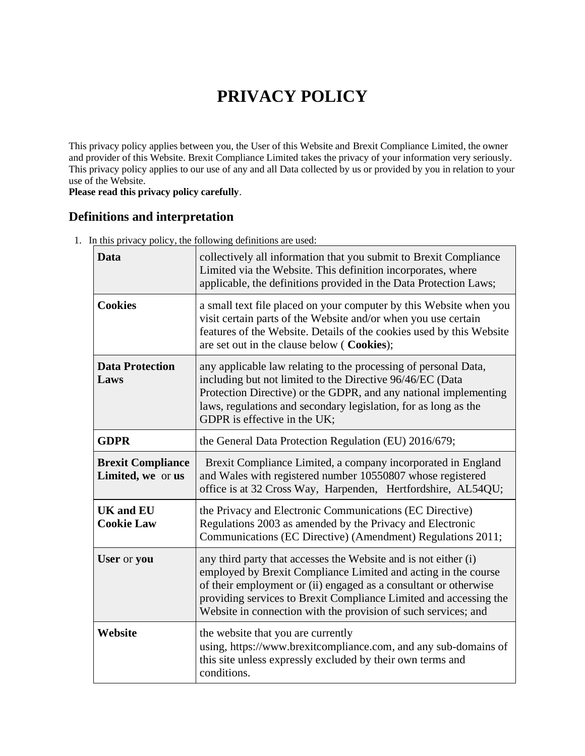# **PRIVACY POLICY**

This privacy policy applies between you, the User of this Website and Brexit Compliance Limited, the owner and provider of this Website. Brexit Compliance Limited takes the privacy of your information very seriously. This privacy policy applies to our use of any and all Data collected by us or provided by you in relation to your use of the Website.

**Please read this privacy policy carefully**.

# **Definitions and interpretation**

1. In this privacy policy, the following definitions are used:

| Data                                          | collectively all information that you submit to Brexit Compliance<br>Limited via the Website. This definition incorporates, where<br>applicable, the definitions provided in the Data Protection Laws;                                                                                                                                       |
|-----------------------------------------------|----------------------------------------------------------------------------------------------------------------------------------------------------------------------------------------------------------------------------------------------------------------------------------------------------------------------------------------------|
| <b>Cookies</b>                                | a small text file placed on your computer by this Website when you<br>visit certain parts of the Website and/or when you use certain<br>features of the Website. Details of the cookies used by this Website<br>are set out in the clause below (Cookies);                                                                                   |
| <b>Data Protection</b><br>Laws                | any applicable law relating to the processing of personal Data,<br>including but not limited to the Directive 96/46/EC (Data<br>Protection Directive) or the GDPR, and any national implementing<br>laws, regulations and secondary legislation, for as long as the<br>GDPR is effective in the UK;                                          |
| <b>GDPR</b>                                   | the General Data Protection Regulation (EU) 2016/679;                                                                                                                                                                                                                                                                                        |
| <b>Brexit Compliance</b><br>Limited, we or us | Brexit Compliance Limited, a company incorporated in England<br>and Wales with registered number 10550807 whose registered<br>office is at 32 Cross Way, Harpenden, Hertfordshire, AL54QU;                                                                                                                                                   |
| <b>UK and EU</b><br><b>Cookie Law</b>         | the Privacy and Electronic Communications (EC Directive)<br>Regulations 2003 as amended by the Privacy and Electronic<br>Communications (EC Directive) (Amendment) Regulations 2011;                                                                                                                                                         |
| User or you                                   | any third party that accesses the Website and is not either (i)<br>employed by Brexit Compliance Limited and acting in the course<br>of their employment or (ii) engaged as a consultant or otherwise<br>providing services to Brexit Compliance Limited and accessing the<br>Website in connection with the provision of such services; and |
| Website                                       | the website that you are currently<br>using, https://www.brexitcompliance.com, and any sub-domains of<br>this site unless expressly excluded by their own terms and<br>conditions.                                                                                                                                                           |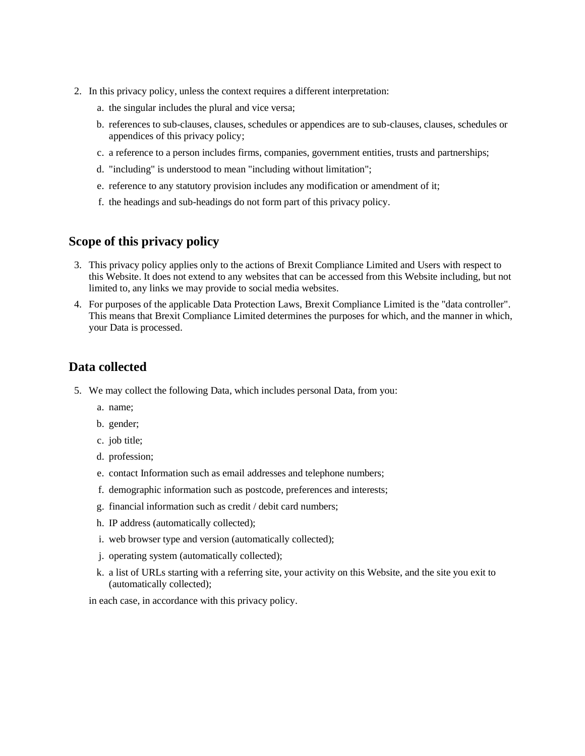- 2. In this privacy policy, unless the context requires a different interpretation:
	- a. the singular includes the plural and vice versa;
	- b. references to sub-clauses, clauses, schedules or appendices are to sub-clauses, clauses, schedules or appendices of this privacy policy;
	- c. a reference to a person includes firms, companies, government entities, trusts and partnerships;
	- d. "including" is understood to mean "including without limitation";
	- e. reference to any statutory provision includes any modification or amendment of it;
	- f. the headings and sub-headings do not form part of this privacy policy.

#### **Scope of this privacy policy**

- 3. This privacy policy applies only to the actions of Brexit Compliance Limited and Users with respect to this Website. It does not extend to any websites that can be accessed from this Website including, but not limited to, any links we may provide to social media websites.
- 4. For purposes of the applicable Data Protection Laws, Brexit Compliance Limited is the "data controller". This means that Brexit Compliance Limited determines the purposes for which, and the manner in which, your Data is processed.

#### **Data collected**

- 5. We may collect the following Data, which includes personal Data, from you:
	- a. name;
	- b. gender;
	- c. job title;
	- d. profession;
	- e. contact Information such as email addresses and telephone numbers;
	- f. demographic information such as postcode, preferences and interests;
	- g. financial information such as credit / debit card numbers;
	- h. IP address (automatically collected);
	- i. web browser type and version (automatically collected);
	- j. operating system (automatically collected);
	- k. a list of URLs starting with a referring site, your activity on this Website, and the site you exit to (automatically collected);

in each case, in accordance with this privacy policy.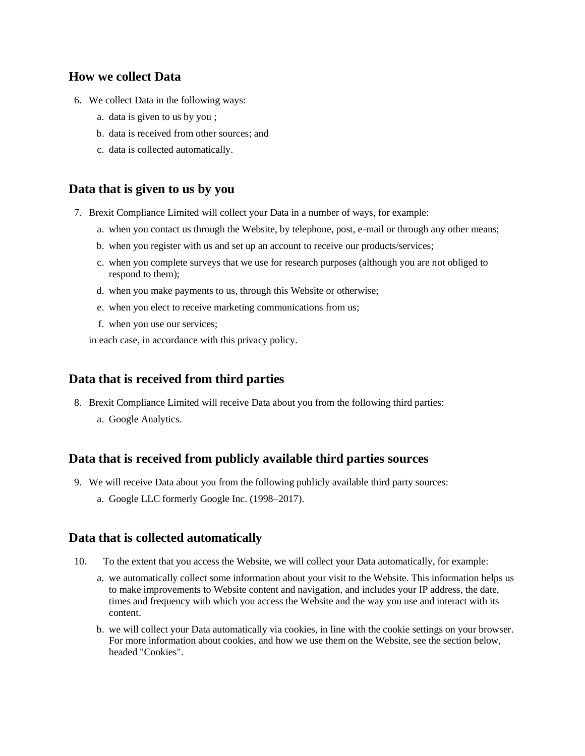#### **How we collect Data**

- 6. We collect Data in the following ways:
	- a. data is given to us by you ;
	- b. data is received from other sources; and
	- c. data is collected automatically.

#### **Data that is given to us by you**

- 7. Brexit Compliance Limited will collect your Data in a number of ways, for example:
	- a. when you contact us through the Website, by telephone, post, e-mail or through any other means;
	- b. when you register with us and set up an account to receive our products/services;
	- c. when you complete surveys that we use for research purposes (although you are not obliged to respond to them);
	- d. when you make payments to us, through this Website or otherwise;
	- e. when you elect to receive marketing communications from us;
	- f. when you use our services;

in each case, in accordance with this privacy policy.

## **Data that is received from third parties**

- 8. Brexit Compliance Limited will receive Data about you from the following third parties:
	- a. Google Analytics.

## **Data that is received from publicly available third parties sources**

- 9. We will receive Data about you from the following publicly available third party sources:
	- a. Google LLC formerly Google Inc. (1998–2017).

## **Data that is collected automatically**

- 10. To the extent that you access the Website, we will collect your Data automatically, for example:
	- a. we automatically collect some information about your visit to the Website. This information helps us to make improvements to Website content and navigation, and includes your IP address, the date, times and frequency with which you access the Website and the way you use and interact with its content.
	- b. we will collect your Data automatically via cookies, in line with the cookie settings on your browser. For more information about cookies, and how we use them on the Website, see the section below, headed "Cookies".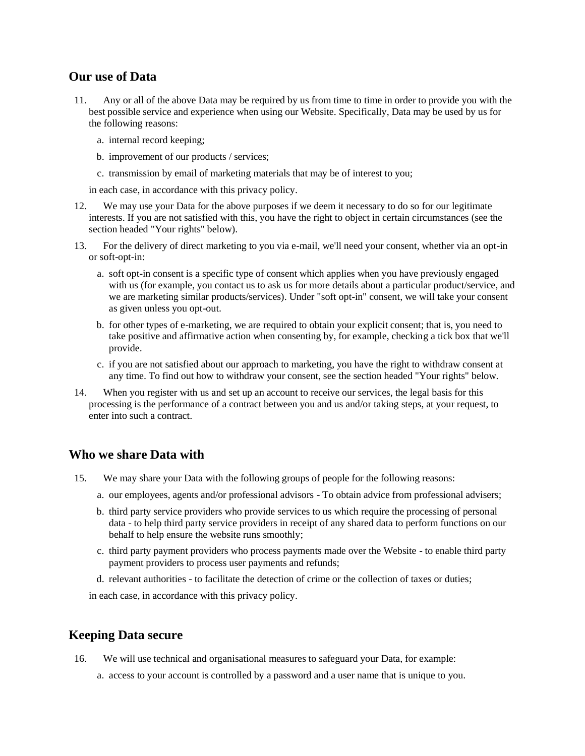#### **Our use of Data**

- 11. Any or all of the above Data may be required by us from time to time in order to provide you with the best possible service and experience when using our Website. Specifically, Data may be used by us for the following reasons:
	- a. internal record keeping;
	- b. improvement of our products / services;
	- c. transmission by email of marketing materials that may be of interest to you;

in each case, in accordance with this privacy policy.

- 12. We may use your Data for the above purposes if we deem it necessary to do so for our legitimate interests. If you are not satisfied with this, you have the right to object in certain circumstances (see the section headed "Your rights" below).
- 13. For the delivery of direct marketing to you via e-mail, we'll need your consent, whether via an opt-in or soft-opt-in:
	- a. soft opt-in consent is a specific type of consent which applies when you have previously engaged with us (for example, you contact us to ask us for more details about a particular product/service, and we are marketing similar products/services). Under "soft opt-in" consent, we will take your consent as given unless you opt-out.
	- b. for other types of e-marketing, we are required to obtain your explicit consent; that is, you need to take positive and affirmative action when consenting by, for example, checking a tick box that we'll provide.
	- c. if you are not satisfied about our approach to marketing, you have the right to withdraw consent at any time. To find out how to withdraw your consent, see the section headed "Your rights" below.
- 14. When you register with us and set up an account to receive our services, the legal basis for this processing is the performance of a contract between you and us and/or taking steps, at your request, to enter into such a contract.

#### **Who we share Data with**

- 15. We may share your Data with the following groups of people for the following reasons:
	- a. our employees, agents and/or professional advisors To obtain advice from professional advisers;
	- b. third party service providers who provide services to us which require the processing of personal data - to help third party service providers in receipt of any shared data to perform functions on our behalf to help ensure the website runs smoothly;
	- c. third party payment providers who process payments made over the Website to enable third party payment providers to process user payments and refunds;
	- d. relevant authorities to facilitate the detection of crime or the collection of taxes or duties;

in each case, in accordance with this privacy policy.

#### **Keeping Data secure**

16. We will use technical and organisational measures to safeguard your Data, for example:

a. access to your account is controlled by a password and a user name that is unique to you.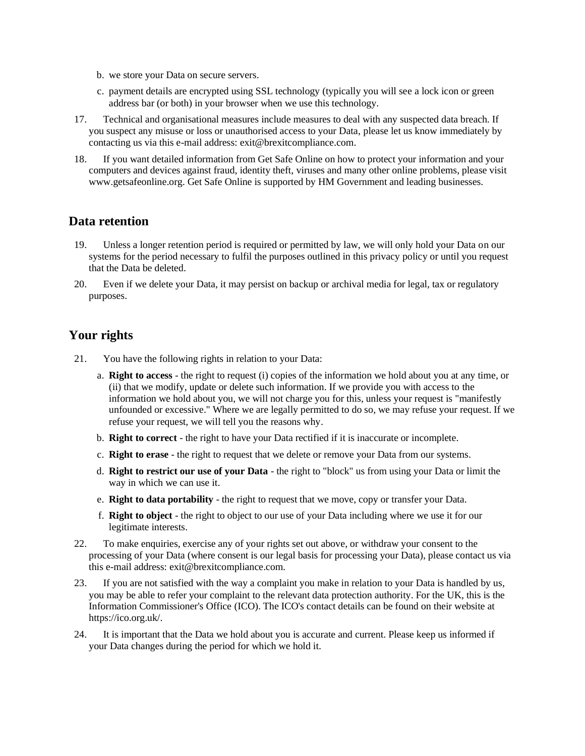- b. we store your Data on secure servers.
- c. payment details are encrypted using SSL technology (typically you will see a lock icon or green address bar (or both) in your browser when we use this technology.
- 17. Technical and organisational measures include measures to deal with any suspected data breach. If you suspect any misuse or loss or unauthorised access to your Data, please let us know immediately by contacting us via this e-mail address: exit@brexitcompliance.com.
- 18. If you want detailed information from Get Safe Online on how to protect your information and your computers and devices against fraud, identity theft, viruses and many other online problems, please visit www.getsafeonline.org. Get Safe Online is supported by HM Government and leading businesses.

#### **Data retention**

- 19. Unless a longer retention period is required or permitted by law, we will only hold your Data on our systems for the period necessary to fulfil the purposes outlined in this privacy policy or until you request that the Data be deleted.
- 20. Even if we delete your Data, it may persist on backup or archival media for legal, tax or regulatory purposes.

# **Your rights**

- 21. You have the following rights in relation to your Data:
	- a. **Right to access** the right to request (i) copies of the information we hold about you at any time, or (ii) that we modify, update or delete such information. If we provide you with access to the information we hold about you, we will not charge you for this, unless your request is "manifestly unfounded or excessive." Where we are legally permitted to do so, we may refuse your request. If we refuse your request, we will tell you the reasons why.
	- b. **Right to correct** the right to have your Data rectified if it is inaccurate or incomplete.
	- c. **Right to erase** the right to request that we delete or remove your Data from our systems.
	- d. **Right to restrict our use of your Data** the right to "block" us from using your Data or limit the way in which we can use it.
	- e. **Right to data portability** the right to request that we move, copy or transfer your Data.
	- f. **Right to object** the right to object to our use of your Data including where we use it for our legitimate interests.
- 22. To make enquiries, exercise any of your rights set out above, or withdraw your consent to the processing of your Data (where consent is our legal basis for processing your Data), please contact us via this e-mail address: exit@brexitcompliance.com.
- 23. If you are not satisfied with the way a complaint you make in relation to your Data is handled by us, you may be able to refer your complaint to the relevant data protection authority. For the UK, this is the Information Commissioner's Office (ICO). The ICO's contact details can be found on their website at https://ico.org.uk/.
- 24. It is important that the Data we hold about you is accurate and current. Please keep us informed if your Data changes during the period for which we hold it.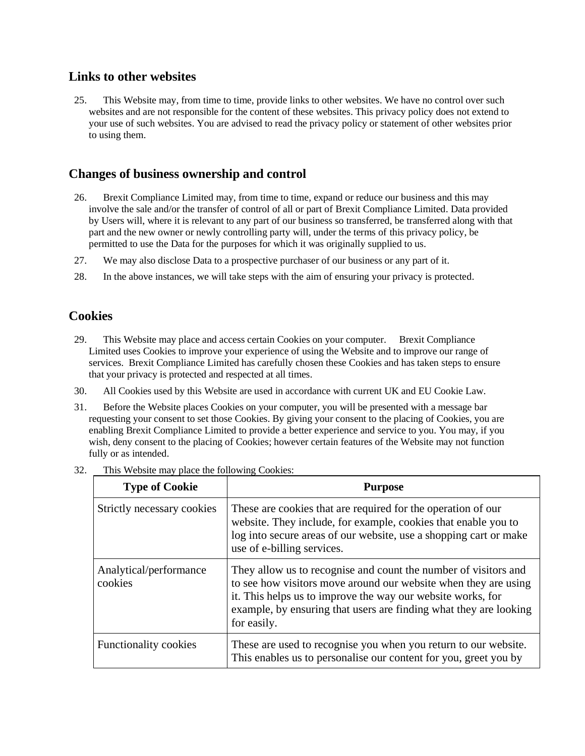#### **Links to other websites**

25. This Website may, from time to time, provide links to other websites. We have no control over such websites and are not responsible for the content of these websites. This privacy policy does not extend to your use of such websites. You are advised to read the privacy policy or statement of other websites prior to using them.

## **Changes of business ownership and control**

- 26. Brexit Compliance Limited may, from time to time, expand or reduce our business and this may involve the sale and/or the transfer of control of all or part of Brexit Compliance Limited. Data provided by Users will, where it is relevant to any part of our business so transferred, be transferred along with that part and the new owner or newly controlling party will, under the terms of this privacy policy, be permitted to use the Data for the purposes for which it was originally supplied to us.
- 27. We may also disclose Data to a prospective purchaser of our business or any part of it.
- 28. In the above instances, we will take steps with the aim of ensuring your privacy is protected.

#### **Cookies**

- 29. This Website may place and access certain Cookies on your computer. Brexit Compliance Limited uses Cookies to improve your experience of using the Website and to improve our range of services. Brexit Compliance Limited has carefully chosen these Cookies and has taken steps to ensure that your privacy is protected and respected at all times.
- 30. All Cookies used by this Website are used in accordance with current UK and EU Cookie Law.
- 31. Before the Website places Cookies on your computer, you will be presented with a message bar requesting your consent to set those Cookies. By giving your consent to the placing of Cookies, you are enabling Brexit Compliance Limited to provide a better experience and service to you. You may, if you wish, deny consent to the placing of Cookies; however certain features of the Website may not function fully or as intended.

| <b>Type of Cookie</b>             | <b>Purpose</b>                                                                                                                                                                                                                                                                        |
|-----------------------------------|---------------------------------------------------------------------------------------------------------------------------------------------------------------------------------------------------------------------------------------------------------------------------------------|
| Strictly necessary cookies        | These are cookies that are required for the operation of our<br>website. They include, for example, cookies that enable you to<br>log into secure areas of our website, use a shopping cart or make<br>use of e-billing services.                                                     |
| Analytical/performance<br>cookies | They allow us to recognise and count the number of visitors and<br>to see how visitors move around our website when they are using<br>it. This helps us to improve the way our website works, for<br>example, by ensuring that users are finding what they are looking<br>for easily. |
| Functionality cookies             | These are used to recognise you when you return to our website.<br>This enables us to personalise our content for you, greet you by                                                                                                                                                   |

32. This Website may place the following Cookies: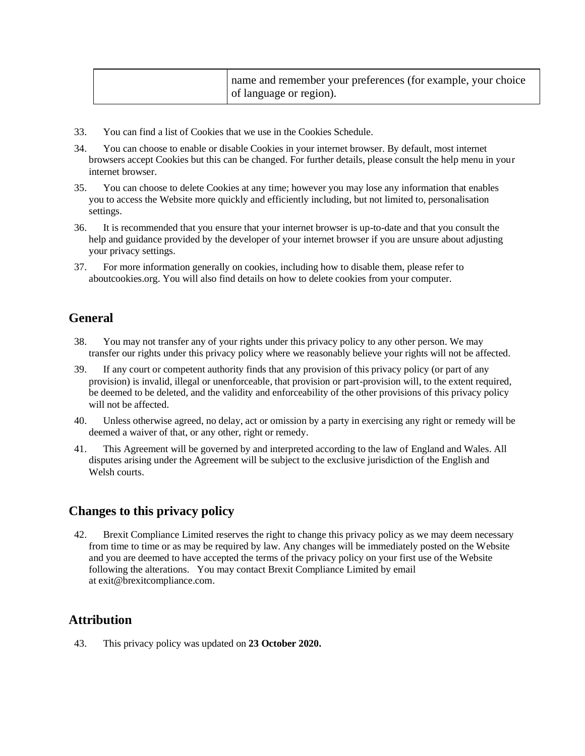| of language or region). | name and remember your preferences (for example, your choice |
|-------------------------|--------------------------------------------------------------|
|-------------------------|--------------------------------------------------------------|

- 33. You can find a list of Cookies that we use in the Cookies Schedule.
- 34. You can choose to enable or disable Cookies in your internet browser. By default, most internet browsers accept Cookies but this can be changed. For further details, please consult the help menu in your internet browser.
- 35. You can choose to delete Cookies at any time; however you may lose any information that enables you to access the Website more quickly and efficiently including, but not limited to, personalisation settings.
- 36. It is recommended that you ensure that your internet browser is up-to-date and that you consult the help and guidance provided by the developer of your internet browser if you are unsure about adjusting your privacy settings.
- 37. For more information generally on cookies, including how to disable them, please refer to aboutcookies.org. You will also find details on how to delete cookies from your computer.

# **General**

- 38. You may not transfer any of your rights under this privacy policy to any other person. We may transfer our rights under this privacy policy where we reasonably believe your rights will not be affected.
- 39. If any court or competent authority finds that any provision of this privacy policy (or part of any provision) is invalid, illegal or unenforceable, that provision or part-provision will, to the extent required, be deemed to be deleted, and the validity and enforceability of the other provisions of this privacy policy will not be affected.
- 40. Unless otherwise agreed, no delay, act or omission by a party in exercising any right or remedy will be deemed a waiver of that, or any other, right or remedy.
- 41. This Agreement will be governed by and interpreted according to the law of England and Wales. All disputes arising under the Agreement will be subject to the exclusive jurisdiction of the English and Welsh courts.

## **Changes to this privacy policy**

42. Brexit Compliance Limited reserves the right to change this privacy policy as we may deem necessary from time to time or as may be required by law. Any changes will be immediately posted on the Website and you are deemed to have accepted the terms of the privacy policy on your first use of the Website following the alterations. You may contact Brexit Compliance Limited by email at exit@brexitcompliance.com.

## **Attribution**

43. This privacy policy was updated on **23 October 2020.**